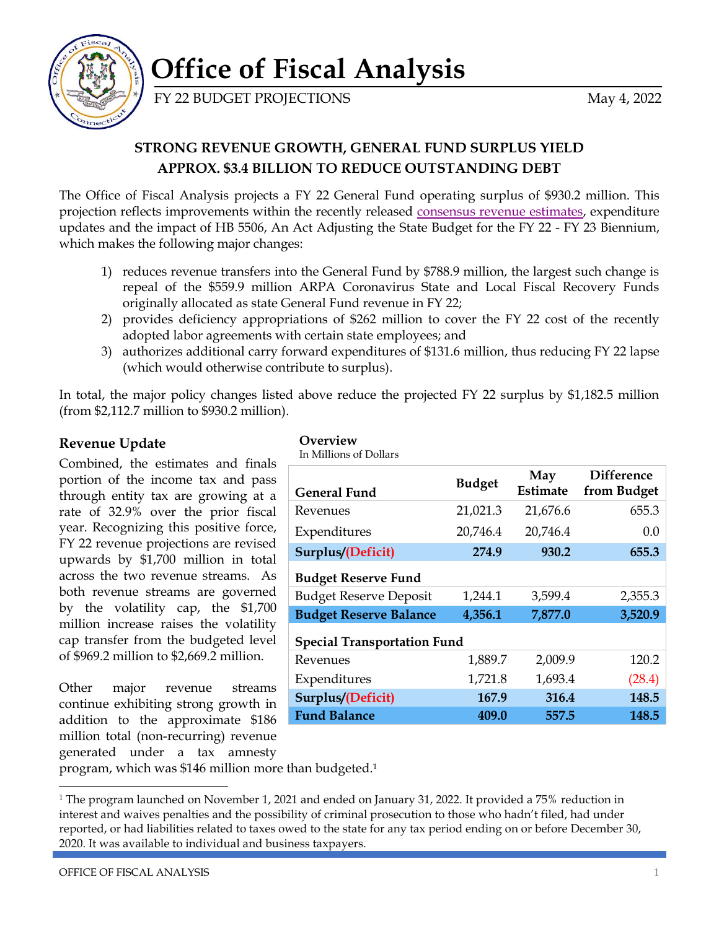

# **Office of Fiscal Analysis**

FY 22 BUDGET PROJECTIONS May 4, 2022

## **STRONG REVENUE GROWTH, GENERAL FUND SURPLUS YIELD APPROX. \$3.4 BILLION TO REDUCE OUTSTANDING DEBT**

The Office of Fiscal Analysis projects a FY 22 General Fund operating surplus of \$930.2 million. This projection reflects improvements within the recently released [consensus revenue estimates,](https://www.cga.ct.gov/ofa/Documents/year/CR/2022CR-20220502_May,%202,%202022%20Consensus%20Revenue%20Estimates.pdf) expenditure updates and the impact of HB 5506, An Act Adjusting the State Budget for the FY 22 - FY 23 Biennium, which makes the following major changes:

- 1) reduces revenue transfers into the General Fund by \$788.9 million, the largest such change is repeal of the \$559.9 million ARPA Coronavirus State and Local Fiscal Recovery Funds originally allocated as state General Fund revenue in FY 22;
- 2) provides deficiency appropriations of \$262 million to cover the FY 22 cost of the recently adopted labor agreements with certain state employees; and
- 3) authorizes additional carry forward expenditures of \$131.6 million, thus reducing FY 22 lapse (which would otherwise contribute to surplus).

In total, the major policy changes listed above reduce the projected FY 22 surplus by \$1,182.5 million (from \$2,112.7 million to \$930.2 million).

### **Revenue Update**

Combined, the estimates and finals portion of the income tax and pass through entity tax are growing at a rate of 32.9% over the prior fiscal year. Recognizing this positive force, FY 22 revenue projections are revised upwards by \$1,700 million in total across the two revenue streams. As both revenue streams are governed by the volatility cap, the \$1,700 million increase raises the volatility cap transfer from the budgeted level of \$969.2 million to \$2,669.2 million.

Other major revenue streams continue exhibiting strong growth in addition to the approximate \$186 million total (non-recurring) revenue generated under a tax amnesty

#### **Overview**

In Millions of Dollars

| <b>General Fund</b>                | <b>Budget</b> | May<br>Estimate | <b>Difference</b><br>from Budget |  |
|------------------------------------|---------------|-----------------|----------------------------------|--|
| Revenues                           | 21,021.3      | 21,676.6        | 655.3                            |  |
| Expenditures                       | 20,746.4      | 20,746.4        | 0.0                              |  |
| Surplus/(Deficit)                  | 274.9         | 930.2           | 655.3                            |  |
| <b>Budget Reserve Fund</b>         |               |                 |                                  |  |
| <b>Budget Reserve Deposit</b>      | 1,244.1       | 3,599.4         | 2,355.3                          |  |
| <b>Budget Reserve Balance</b>      | 4,356.1       | 7,877.0         | 3,520.9                          |  |
| <b>Special Transportation Fund</b> |               |                 |                                  |  |
| Revenues                           | 1,889.7       | 2,009.9         | 120.2                            |  |
| Expenditures                       | 1,721.8       | 1,693.4         | (28.4)                           |  |
| Surplus/(Deficit)                  | 167.9         | 316.4           | 148.5                            |  |
| <b>Fund Balance</b>                | 409.0         | 557.5           | 148.5                            |  |

program, which was \$146 million more than budgeted. 1

<sup>&</sup>lt;sup>1</sup> The program launched on November 1, 2021 and ended on January 31, 2022. It provided a 75% reduction in interest and waives penalties and the possibility of criminal prosecution to those who hadn't filed, had under reported, or had liabilities related to taxes owed to the state for any tax period ending on or before December 30, 2020. It was available to individual and business taxpayers.